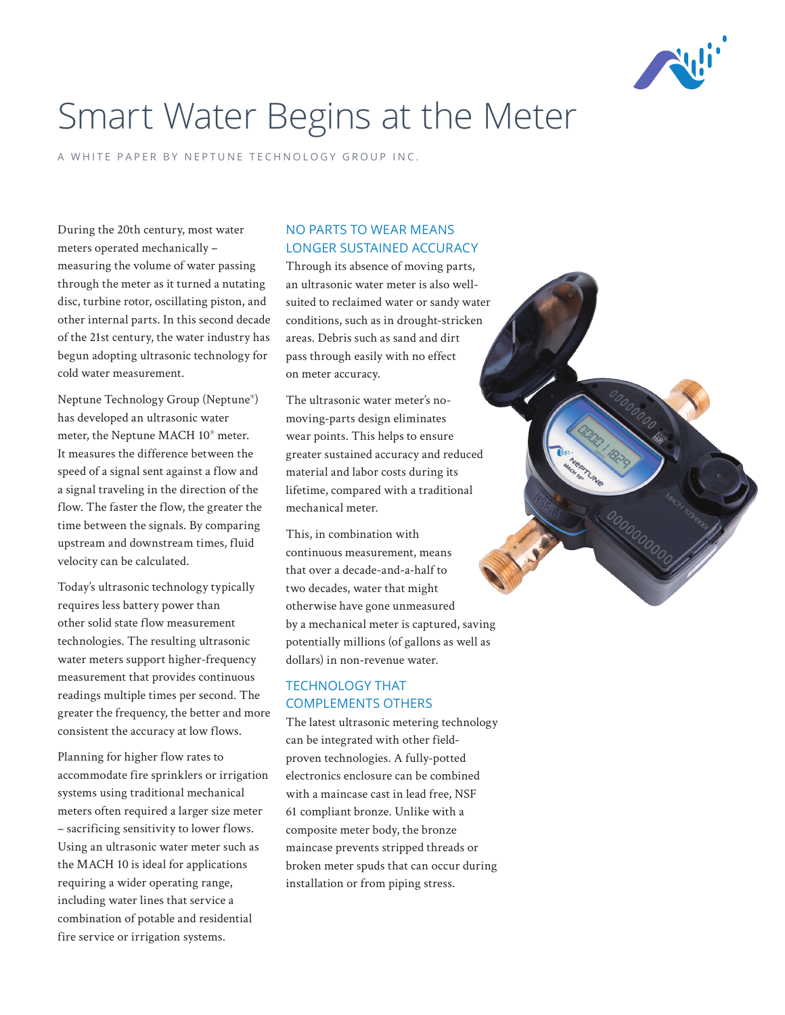

# Smart Water Begins at the Meter

A WHITE PAPER BY NEPTUNE TECHNOLOGY GROUP INC.

During the 20th century, most water meters operated mechanically – measuring the volume of water passing through the meter as it turned a nutating disc, turbine rotor, oscillating piston, and other internal parts. In this second decade of the 21st century, the water industry has begun adopting ultrasonic technology for cold water measurement.

Neptune Technology Group (Neptune®) has developed an ultrasonic water meter, the Neptune MACH 10® meter. It measures the difference between the speed of a signal sent against a flow and a signal traveling in the direction of the flow. The faster the flow, the greater the time between the signals. By comparing upstream and downstream times, fluid velocity can be calculated.

Today's ultrasonic technology typically requires less battery power than other solid state flow measurement technologies. The resulting ultrasonic water meters support higher-frequency measurement that provides continuous readings multiple times per second. The greater the frequency, the better and more consistent the accuracy at low flows.

Planning for higher flow rates to accommodate fire sprinklers or irrigation systems using traditional mechanical meters often required a larger size meter – sacrificing sensitivity to lower flows. Using an ultrasonic water meter such as the MACH 10 is ideal for applications requiring a wider operating range, including water lines that service a combination of potable and residential fire service or irrigation systems.

### NO PARTS TO WEAR MEANS LONGER SUSTAINED ACCURACY

Through its absence of moving parts, an ultrasonic water meter is also wellsuited to reclaimed water or sandy water conditions, such as in drought-stricken areas. Debris such as sand and dirt pass through easily with no effect on meter accuracy.

The ultrasonic water meter's nomoving-parts design eliminates wear points. This helps to ensure greater sustained accuracy and reduced material and labor costs during its lifetime, compared with a traditional mechanical meter.

This, in combination with continuous measurement, means that over a decade-and-a-half to two decades, water that might otherwise have gone unmeasured by a mechanical meter is captured, saving potentially millions (of gallons as well as dollars) in non-revenue water.

# TECHNOLOGY THAT COMPLEMENTS OTHERS

The latest ultrasonic metering technology can be integrated with other fieldproven technologies. A fully-potted electronics enclosure can be combined with a maincase cast in lead free, NSF 61 compliant bronze. Unlike with a composite meter body, the bronze maincase prevents stripped threads or broken meter spuds that can occur during installation or from piping stress.